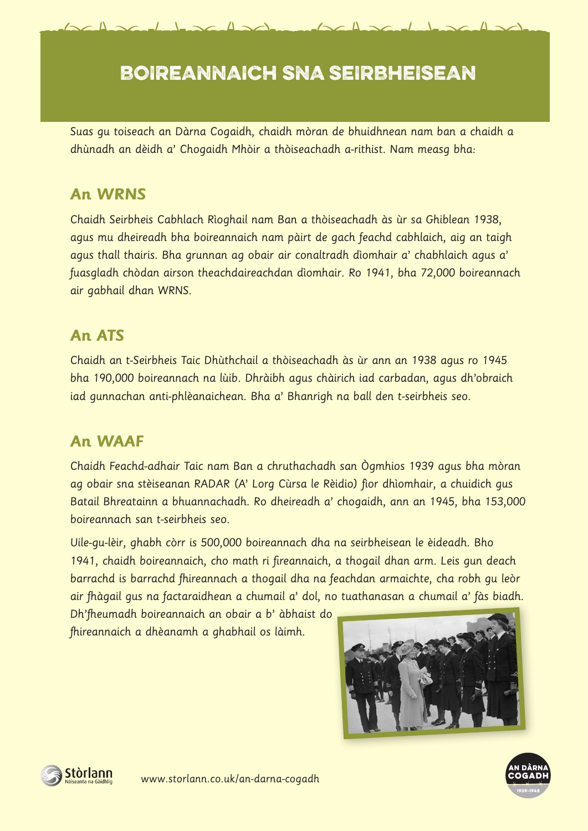## BOIREANNAICH SNA SEIRBHEISEAN

 $\triangle \triangle$ 

Suas gu toiseach an Dàrna Cogaidh, chaidh mòran de bhuidhnean nam ban a chaidh a dhùnadh an dèidh a' Chogaidh Mhòir a thòiseachadh a-rithist. Nam measg bha:

## **An WRNS**

Chaidh Seirbheis Cabhlach Rìoghail nam Ban a thòiseachadh às ùr sa Ghiblean 1938, agus mu dheireadh bha boireannaich nam pàirt de gach feachd cabhlaich, aig an taigh agus thall thairis. Bha grunnan ag obair air conaltradh dìomhair a' chabhlaich agus a' fuasgladh chòdan airson theachdaireachdan dìomhair. Ro 1941, bha 72,000 boireannach air gabhail dhan WRNS.

## **An ATS**

Chaidh an t-Seirbheis Taic Dhùthchail a thòiseachadh às ùr ann an 1938 agus ro 1945 bha 190,000 boireannach na lùib. Dhràibh agus chàirich iad carbadan, agus dh'obraich iad gunnachan anti-phlèanaichean. Bha a' Bhanrigh na ball den t-seirbheis seo.

## **An WAAF**

Chaidh Feachd-adhair Taic nam Ban a chruthachadh san Ògmhios 1939 agus bha mòran ag obair sna stèiseanan RADAR (A' Lorg Cùrsa le Rèidio) fìor dhìomhair, a chuidich gus Batail Bhreatainn a bhuannachadh. Ro dheireadh a' chogaidh, ann an 1945, bha 153,000 boireannach san t-seirbheis seo.

Uile-gu-lèir, ghabh còrr is 500,000 boireannach dha na seirbheisean le èideadh. Bho 1941, chaidh boireannaich, cho math ri fireannaich, a thogail dhan arm. Leis gun deach barrachd is barrachd fhireannach a thogail dha na feachdan armaichte, cha robh gu leòr air fhàgail gus na factaraidhean a chumail a' dol, no tuathanasan a chumail a' fàs biadh.

Dh'fheumadh boireannaich an obair a b' àbhaist do fhireannaich a dhèanamh a ghabhail os làimh.